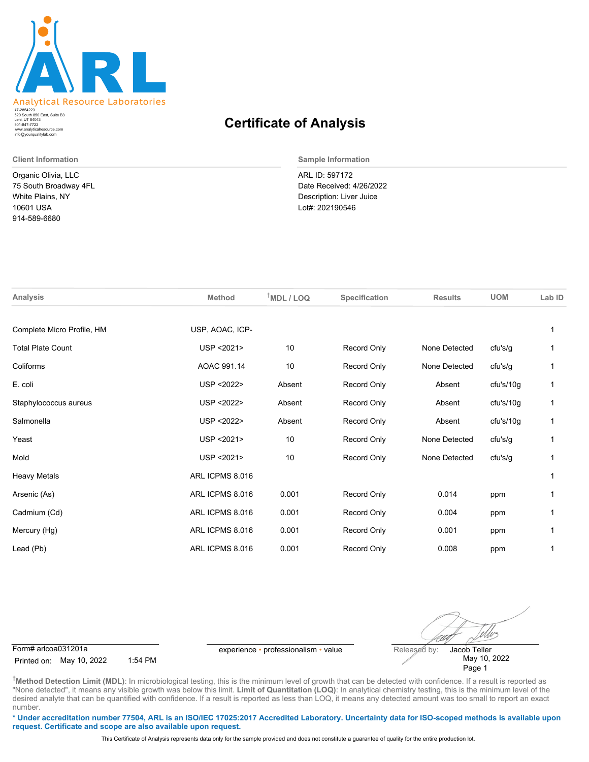

520 South 850 East, Suite B3 Lehi, UT 84043 47-2854223 801-847-7722 www.analyticalresource.com info@yourqualitylab.com

Organic Olivia, LLC 75 South Broadway 4FL White Plains, NY 10601 USA 914-589-6680

## **Certificate of Analysis**

**Client Information Sample Information**

ARL ID: 597172 Date Received: 4/26/2022 Description: Liver Juice Lot#: 202190546

| <b>Analysis</b>            | <b>Method</b>   | $†MDL / LOQ$ | Specification | <b>Results</b> | <b>UOM</b> | Lab ID |
|----------------------------|-----------------|--------------|---------------|----------------|------------|--------|
| Complete Micro Profile, HM | USP, AOAC, ICP- |              |               |                |            |        |
| <b>Total Plate Count</b>   | USP <2021>      | 10           | Record Only   | None Detected  | cfu's/g    |        |
| Coliforms                  | AOAC 991.14     | 10           | Record Only   | None Detected  | cfu's/g    |        |
| E. coli                    | USP < 2022>     | Absent       | Record Only   | Absent         | cfu's/10g  |        |
| Staphylococcus aureus      | USP < 2022>     | Absent       | Record Only   | Absent         | cfu's/10g  |        |
| Salmonella                 | USP < 2022>     | Absent       | Record Only   | Absent         | cfu's/10g  |        |
| Yeast                      | USP < 2021>     | 10           | Record Only   | None Detected  | cfu's/g    |        |
| Mold                       | USP < 2021>     | 10           | Record Only   | None Detected  | cfu's/g    |        |
| <b>Heavy Metals</b>        | ARL ICPMS 8.016 |              |               |                |            |        |
| Arsenic (As)               | ARL ICPMS 8.016 | 0.001        | Record Only   | 0.014          | ppm        |        |
| Cadmium (Cd)               | ARL ICPMS 8.016 | 0.001        | Record Only   | 0.004          | ppm        |        |
| Mercury (Hg)               | ARL ICPMS 8.016 | 0.001        | Record Only   | 0.001          | ppm        |        |
| Lead (Pb)                  | ARL ICPMS 8.016 | 0.001        | Record Only   | 0.008          | ppm        |        |
|                            |                 |              |               |                |            |        |

Form# arlcoa031201a experience • professionalism • value Released by:

Printed on: May 10, 2022 1:54 PM

ellos Jacob Teller May 10, 2022

Page 1

**†Method Detection Limit (MDL)**: In microbiological testing, this is the minimum level of growth that can be detected with confidence. If a result is reported as "None detected", it means any visible growth was below this limit. Limit of Quantitation (LOQ): In analytical chemistry testing, this is the minimum level of the desired analyte that can be quantified with confidence. If a result is reported as less than LOQ, it means any detected amount was too small to report an exact number.

**\* Under accreditation number 77504, ARL is an ISO/IEC 17025:2017 Accredited Laboratory. Uncertainty data for ISO-scoped methods is available upon request. Certificate and scope are also available upon request.**